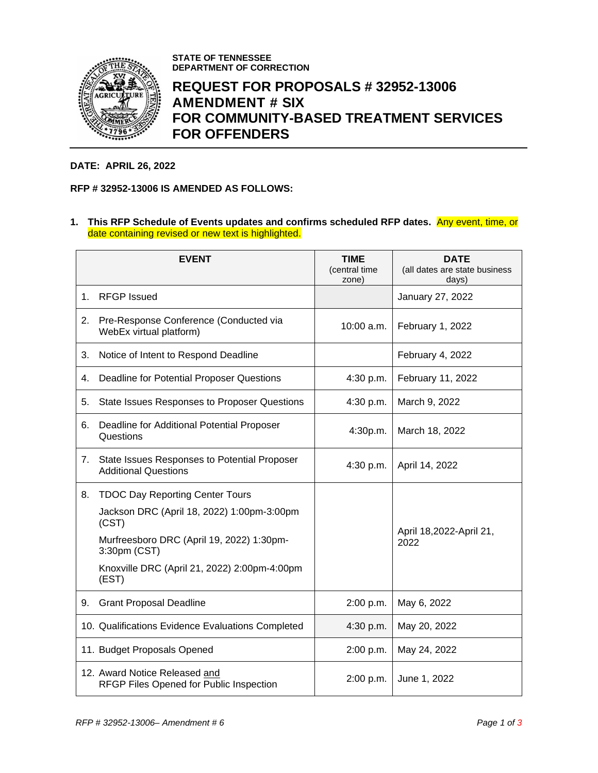

**STATE OF TENNESSEE DEPARTMENT OF CORRECTION**

## **REQUEST FOR PROPOSALS # 32952-13006 AMENDMENT # SIX FOR COMMUNITY-BASED TREATMENT SERVICES FOR OFFENDERS**

## **DATE: APRIL 26, 2022**

## **RFP # 32952-13006 IS AMENDED AS FOLLOWS:**

**1. This RFP Schedule of Events updates and confirms scheduled RFP dates.** Any event, time, or date containing revised or new text is highlighted.

|    | <b>EVENT</b>                                                                | <b>TIME</b><br>(central time<br>zone) | <b>DATE</b><br>(all dates are state business<br>days) |  |
|----|-----------------------------------------------------------------------------|---------------------------------------|-------------------------------------------------------|--|
| 1. | <b>RFGP</b> Issued                                                          |                                       | January 27, 2022                                      |  |
| 2. | Pre-Response Conference (Conducted via<br>WebEx virtual platform)           | $10:00$ a.m.                          | February 1, 2022                                      |  |
| 3. | Notice of Intent to Respond Deadline                                        |                                       | February 4, 2022                                      |  |
| 4. | Deadline for Potential Proposer Questions                                   | 4:30 p.m.                             | February 11, 2022                                     |  |
| 5. | <b>State Issues Responses to Proposer Questions</b>                         | 4:30 p.m.                             | March 9, 2022                                         |  |
| 6. | Deadline for Additional Potential Proposer<br>Questions                     | 4:30p.m.                              | March 18, 2022                                        |  |
| 7. | State Issues Responses to Potential Proposer<br><b>Additional Questions</b> | 4:30 p.m.                             | April 14, 2022                                        |  |
| 8. | <b>TDOC Day Reporting Center Tours</b>                                      |                                       |                                                       |  |
|    | Jackson DRC (April 18, 2022) 1:00pm-3:00pm<br>(CST)                         |                                       |                                                       |  |
|    | Murfreesboro DRC (April 19, 2022) 1:30pm-<br>3:30pm (CST)                   |                                       | April 18,2022-April 21,<br>2022                       |  |
|    | Knoxville DRC (April 21, 2022) 2:00pm-4:00pm<br>(EST)                       |                                       |                                                       |  |
| 9. | <b>Grant Proposal Deadline</b>                                              | 2:00 p.m.                             | May 6, 2022                                           |  |
|    | 10. Qualifications Evidence Evaluations Completed                           | 4:30 p.m.                             | May 20, 2022                                          |  |
|    | 11. Budget Proposals Opened                                                 | 2:00 p.m.                             | May 24, 2022                                          |  |
|    | 12. Award Notice Released and<br>RFGP Files Opened for Public Inspection    | 2:00 p.m.                             | June 1, 2022                                          |  |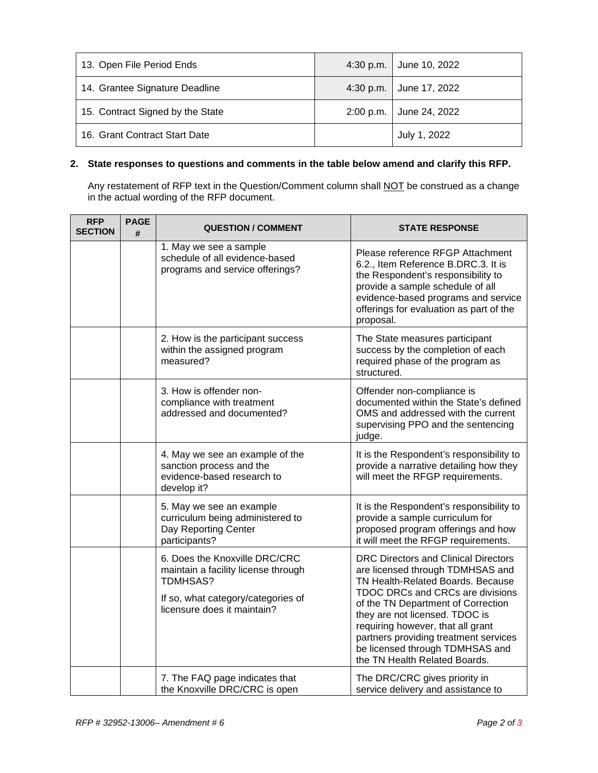| 13. Open File Period Ends        |           | 4:30 p.m. $\vert$ June 10, 2022 |
|----------------------------------|-----------|---------------------------------|
| 14. Grantee Signature Deadline   |           | 4:30 p.m. June 17, 2022         |
| 15. Contract Signed by the State | 2:00 p.m. | June 24, 2022                   |
| 16. Grant Contract Start Date    |           | July 1, 2022                    |

## **2. State responses to questions and comments in the table below amend and clarify this RFP.**

Any restatement of RFP text in the Question/Comment column shall <u>NOT</u> be construed as a change in the actual wording of the RFP document.

| <b>RFP</b><br><b>SECTION</b> | <b>PAGE</b><br># | <b>QUESTION / COMMENT</b>                                                                                                                             | <b>STATE RESPONSE</b>                                                                                                                                                                                                                                                                                                                                                                     |
|------------------------------|------------------|-------------------------------------------------------------------------------------------------------------------------------------------------------|-------------------------------------------------------------------------------------------------------------------------------------------------------------------------------------------------------------------------------------------------------------------------------------------------------------------------------------------------------------------------------------------|
|                              |                  | 1. May we see a sample<br>schedule of all evidence-based<br>programs and service offerings?                                                           | Please reference RFGP Attachment<br>6.2., Item Reference B.DRC.3. It is<br>the Respondent's responsibility to<br>provide a sample schedule of all<br>evidence-based programs and service<br>offerings for evaluation as part of the<br>proposal.                                                                                                                                          |
|                              |                  | 2. How is the participant success<br>within the assigned program<br>measured?                                                                         | The State measures participant<br>success by the completion of each<br>required phase of the program as<br>structured.                                                                                                                                                                                                                                                                    |
|                              |                  | 3. How is offender non-<br>compliance with treatment<br>addressed and documented?                                                                     | Offender non-compliance is<br>documented within the State's defined<br>OMS and addressed with the current<br>supervising PPO and the sentencing<br>judge.                                                                                                                                                                                                                                 |
|                              |                  | 4. May we see an example of the<br>sanction process and the<br>evidence-based research to<br>develop it?                                              | It is the Respondent's responsibility to<br>provide a narrative detailing how they<br>will meet the RFGP requirements.                                                                                                                                                                                                                                                                    |
|                              |                  | 5. May we see an example<br>curriculum being administered to<br>Day Reporting Center<br>participants?                                                 | It is the Respondent's responsibility to<br>provide a sample curriculum for<br>proposed program offerings and how<br>it will meet the RFGP requirements.                                                                                                                                                                                                                                  |
|                              |                  | 6. Does the Knoxville DRC/CRC<br>maintain a facility license through<br>TDMHSAS?<br>If so, what category/categories of<br>licensure does it maintain? | <b>DRC Directors and Clinical Directors</b><br>are licensed through TDMHSAS and<br>TN Health-Related Boards. Because<br><b>TDOC DRCs and CRCs are divisions</b><br>of the TN Department of Correction<br>they are not licensed. TDOC is<br>requiring however, that all grant<br>partners providing treatment services<br>be licensed through TDMHSAS and<br>the TN Health Related Boards. |
|                              |                  | 7. The FAQ page indicates that<br>the Knoxville DRC/CRC is open                                                                                       | The DRC/CRC gives priority in<br>service delivery and assistance to                                                                                                                                                                                                                                                                                                                       |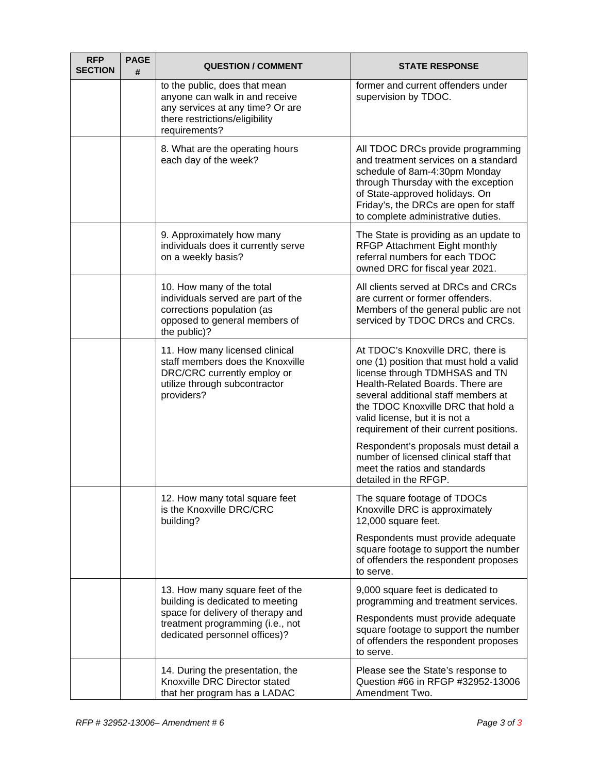| <b>RFP</b><br><b>SECTION</b> | <b>PAGE</b><br># | <b>QUESTION / COMMENT</b>                                                                                                                              | <b>STATE RESPONSE</b>                                                                                                                                                                                                                                                                                                                                |
|------------------------------|------------------|--------------------------------------------------------------------------------------------------------------------------------------------------------|------------------------------------------------------------------------------------------------------------------------------------------------------------------------------------------------------------------------------------------------------------------------------------------------------------------------------------------------------|
|                              |                  | to the public, does that mean<br>anyone can walk in and receive<br>any services at any time? Or are<br>there restrictions/eligibility<br>requirements? | former and current offenders under<br>supervision by TDOC.                                                                                                                                                                                                                                                                                           |
|                              |                  | 8. What are the operating hours<br>each day of the week?                                                                                               | All TDOC DRCs provide programming<br>and treatment services on a standard<br>schedule of 8am-4:30pm Monday<br>through Thursday with the exception<br>of State-approved holidays. On<br>Friday's, the DRCs are open for staff<br>to complete administrative duties.                                                                                   |
|                              |                  | 9. Approximately how many<br>individuals does it currently serve<br>on a weekly basis?                                                                 | The State is providing as an update to<br>RFGP Attachment Eight monthly<br>referral numbers for each TDOC<br>owned DRC for fiscal year 2021.                                                                                                                                                                                                         |
|                              |                  | 10. How many of the total<br>individuals served are part of the<br>corrections population (as<br>opposed to general members of<br>the public)?         | All clients served at DRCs and CRCs<br>are current or former offenders.<br>Members of the general public are not<br>serviced by TDOC DRCs and CRCs.                                                                                                                                                                                                  |
|                              |                  | 11. How many licensed clinical<br>staff members does the Knoxville<br>DRC/CRC currently employ or<br>utilize through subcontractor<br>providers?       | At TDOC's Knoxville DRC, there is<br>one (1) position that must hold a valid<br>license through TDMHSAS and TN<br>Health-Related Boards. There are<br>several additional staff members at<br>the TDOC Knoxville DRC that hold a<br>valid license, but it is not a<br>requirement of their current positions.<br>Respondent's proposals must detail a |
|                              |                  |                                                                                                                                                        | number of licensed clinical staff that<br>meet the ratios and standards<br>detailed in the RFGP.                                                                                                                                                                                                                                                     |
|                              |                  | 12. How many total square feet<br>is the Knoxville DRC/CRC<br>building?                                                                                | The square footage of TDOCs<br>Knoxville DRC is approximately<br>12,000 square feet.                                                                                                                                                                                                                                                                 |
|                              |                  |                                                                                                                                                        | Respondents must provide adequate<br>square footage to support the number<br>of offenders the respondent proposes<br>to serve.                                                                                                                                                                                                                       |
|                              |                  | 13. How many square feet of the<br>building is dedicated to meeting<br>space for delivery of therapy and                                               | 9,000 square feet is dedicated to<br>programming and treatment services.                                                                                                                                                                                                                                                                             |
|                              |                  | treatment programming (i.e., not<br>dedicated personnel offices)?                                                                                      | Respondents must provide adequate<br>square footage to support the number<br>of offenders the respondent proposes<br>to serve.                                                                                                                                                                                                                       |
|                              |                  | 14. During the presentation, the<br>Knoxville DRC Director stated<br>that her program has a LADAC                                                      | Please see the State's response to<br>Question #66 in RFGP #32952-13006<br>Amendment Two.                                                                                                                                                                                                                                                            |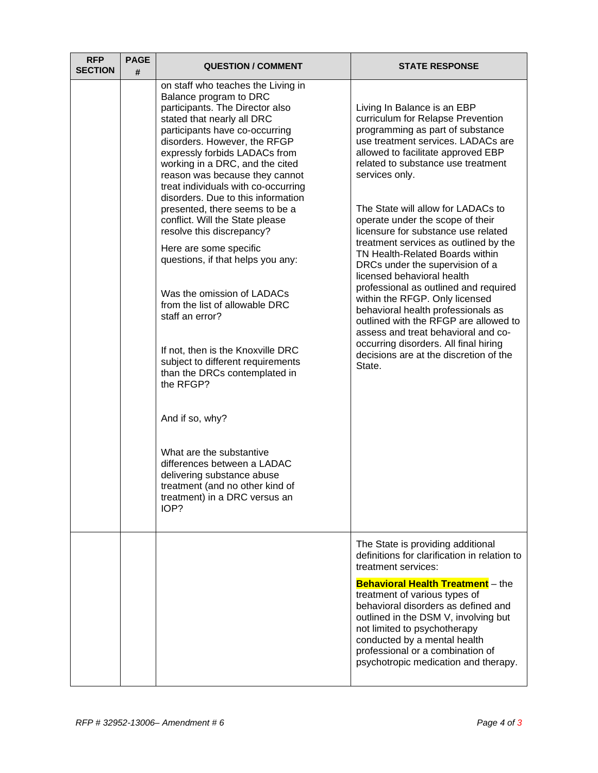| <b>RFP</b><br><b>SECTION</b> | <b>PAGE</b><br># | <b>QUESTION / COMMENT</b>                                                                                                                                                                                                                                                                                                                                                                                                                                                                                                                                                                                                                                                                                                                                                                                                                                                                                                                              | <b>STATE RESPONSE</b>                                                                                                                                                                                                                                                                                                                                                                                                                                                                                                                                                                                                                                                                                                                                                                                |
|------------------------------|------------------|--------------------------------------------------------------------------------------------------------------------------------------------------------------------------------------------------------------------------------------------------------------------------------------------------------------------------------------------------------------------------------------------------------------------------------------------------------------------------------------------------------------------------------------------------------------------------------------------------------------------------------------------------------------------------------------------------------------------------------------------------------------------------------------------------------------------------------------------------------------------------------------------------------------------------------------------------------|------------------------------------------------------------------------------------------------------------------------------------------------------------------------------------------------------------------------------------------------------------------------------------------------------------------------------------------------------------------------------------------------------------------------------------------------------------------------------------------------------------------------------------------------------------------------------------------------------------------------------------------------------------------------------------------------------------------------------------------------------------------------------------------------------|
|                              |                  | on staff who teaches the Living in<br>Balance program to DRC<br>participants. The Director also<br>stated that nearly all DRC<br>participants have co-occurring<br>disorders. However, the RFGP<br>expressly forbids LADACs from<br>working in a DRC, and the cited<br>reason was because they cannot<br>treat individuals with co-occurring<br>disorders. Due to this information<br>presented, there seems to be a<br>conflict. Will the State please<br>resolve this discrepancy?<br>Here are some specific<br>questions, if that helps you any:<br>Was the omission of LADACs<br>from the list of allowable DRC<br>staff an error?<br>If not, then is the Knoxville DRC<br>subject to different requirements<br>than the DRCs contemplated in<br>the RFGP?<br>And if so, why?<br>What are the substantive<br>differences between a LADAC<br>delivering substance abuse<br>treatment (and no other kind of<br>treatment) in a DRC versus an<br>IOP? | Living In Balance is an EBP<br>curriculum for Relapse Prevention<br>programming as part of substance<br>use treatment services. LADACs are<br>allowed to facilitate approved EBP<br>related to substance use treatment<br>services only.<br>The State will allow for LADACs to<br>operate under the scope of their<br>licensure for substance use related<br>treatment services as outlined by the<br>TN Health-Related Boards within<br>DRCs under the supervision of a<br>licensed behavioral health<br>professional as outlined and required<br>within the RFGP. Only licensed<br>behavioral health professionals as<br>outlined with the RFGP are allowed to<br>assess and treat behavioral and co-<br>occurring disorders. All final hiring<br>decisions are at the discretion of the<br>State. |
|                              |                  |                                                                                                                                                                                                                                                                                                                                                                                                                                                                                                                                                                                                                                                                                                                                                                                                                                                                                                                                                        | The State is providing additional<br>definitions for clarification in relation to<br>treatment services:<br><b>Behavioral Health Treatment</b> - the<br>treatment of various types of<br>behavioral disorders as defined and<br>outlined in the DSM V, involving but<br>not limited to psychotherapy<br>conducted by a mental health<br>professional or a combination of<br>psychotropic medication and therapy.                                                                                                                                                                                                                                                                                                                                                                                     |